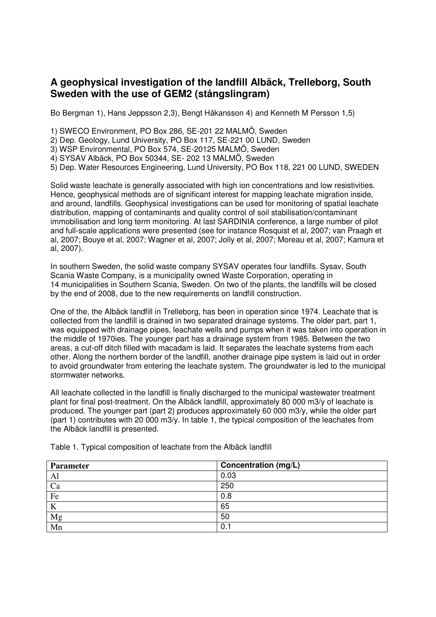## **A geophysical investigation of the landfill Albäck, Trelleborg, South Sweden with the use of GEM2 (stångslingram)**

Bo Bergman 1), Hans Jeppsson 2,3), Bengt Håkansson 4) and Kenneth M Persson 1,5)

1) SWECO Environment, PO Box 286, SE-201 22 MALMÖ, Sweden

2) Dep. Geology, Lund University, PO Box 117, SE-221 00 LUND, Sweden

3) WSP Environmental, PO Box 574, SE-20125 MALMÖ, Sweden

4) SYSAV Albäck, PO Box 50344, SE- 202 13 MALMÖ, Sweden

5) Dep. Water Resources Engineering, Lund University, PO Box 118, 221 00 LUND, SWEDEN

Solid waste leachate is generally associated with high ion concentrations and low resistivities. Hence, geophysical methods are of significant interest for mapping leachate migration inside, and around, landfills. Geophysical investigations can be used for monitoring of spatial leachate distribution, mapping of contaminants and quality control of soil stabilisation/contaminant immobilisation and long term monitoring. At last SARDINIA conference, a large number of pilot and full-scale applications were presented (see for instance Rosquist et al, 2007; van Praagh et al, 2007; Bouye et al, 2007; Wagner et al, 2007; Jolly et al, 2007; Moreau et al, 2007; Kamura et al, 2007).

In southern Sweden, the solid waste company SYSAV operates four landfills. Sysav, South Scania Waste Company, is a municipality owned Waste Corporation, operating in 14 municipalities in Southern Scania, Sweden. On two of the plants, the landfills will be closed by the end of 2008, due to the new requirements on landfill construction.

One of the, the Albäck landfill in Trelleborg, has been in operation since 1974. Leachate that is collected from the landfill is drained in two separated drainage systems. The older part, part 1, was equipped with drainage pipes, leachate wells and pumps when it was taken into operation in the middle of 1970ies. The younger part has a drainage system from 1985. Between the two areas, a cut-off ditch filled with macadam is laid. It separates the leachate systems from each other. Along the northern border of the landfill, another drainage pipe system is laid out in order to avoid groundwater from entering the leachate system. The groundwater is led to the municipal stormwater networks.

All leachate collected in the landfill is finally discharged to the municipal wastewater treatment plant for final post-treatment. On the Albäck landfill, approximately 80 000 m3/y of leachate is produced. The younger part (part 2) produces approximately 60 000 m3/y, while the older part (part 1) contributes with 20 000 m3/y. In table 1, the typical composition of the leachates from the Albäck landfill is presented.

| Parameter      | <b>Concentration (mg/L)</b> |
|----------------|-----------------------------|
| A <sub>1</sub> | 0.03                        |
| Ca             | 250                         |
| Fe             | 0.8                         |
| $\bf K$        | 65                          |
| Mg             | 50                          |
| Mn             | 0.1                         |

Table 1. Typical composition of leachate from the Albäck landfill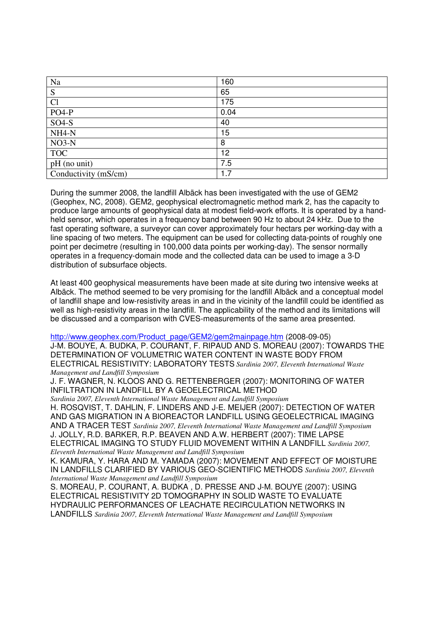| Na                   | 160  |
|----------------------|------|
| S                    | 65   |
| Cl                   | 175  |
| $PO4-P$              | 0.04 |
| $SO4-S$              | 40   |
| NH <sub>4</sub> -N   | 15   |
| $NO3-N$              | 8    |
| <b>TOC</b>           | 12   |
| pH (no unit)         | 7.5  |
| Conductivity (mS/cm) | 1.7  |

During the summer 2008, the landfill Albäck has been investigated with the use of GEM2 (Geophex, NC, 2008). GEM2, geophysical electromagnetic method mark 2, has the capacity to produce large amounts of geophysical data at modest field-work efforts. It is operated by a handheld sensor, which operates in a frequency band between 90 Hz to about 24 kHz. Due to the fast operating software, a surveyor can cover approximately four hectars per working-day with a line spacing of two meters. The equipment can be used for collecting data-points of roughly one point per decimetre (resulting in 100,000 data points per working-day). The sensor normally operates in a frequency-domain mode and the collected data can be used to image a 3-D distribution of subsurface objects.

At least 400 geophysical measurements have been made at site during two intensive weeks at Albäck. The method seemed to be very promising for the landfill Albäck and a conceptual model of landfill shape and low-resistivity areas in and in the vicinity of the landfill could be identified as well as high-resistivity areas in the landfill. The applicability of the method and its limitations will be discussed and a comparison with CVES-measurements of the same area presented.

## http://www.geophex.com/Product\_page/GEM2/gem2mainpage.htm (2008-09-05)

J-M. BOUYE, A. BUDKA, P. COURANT, F. RIPAUD AND S. MOREAU (2007): TOWARDS THE DETERMINATION OF VOLUMETRIC WATER CONTENT IN WASTE BODY FROM ELECTRICAL RESISTIVITY: LABORATORY TESTS *Sardinia 2007, Eleventh International Waste Management and Landfill Symposium*

J. F. WAGNER, N. KLOOS AND G. RETTENBERGER (2007): MONITORING OF WATER INFILTRATION IN LANDFILL BY A GEOELECTRICAL METHOD

*Sardinia 2007, Eleventh International Waste Management and Landfill Symposium*

H. ROSQVIST, T. DAHLIN, F. LINDERS AND J-E. MEIJER (2007): DETECTION OF WATER AND GAS MIGRATION IN A BIOREACTOR LANDFILL USING GEOELECTRICAL IMAGING AND A TRACER TEST *Sardinia 2007, Eleventh International Waste Management and Landfill Symposium* J. JOLLY, R.D. BARKER, R.P. BEAVEN AND A.W. HERBERT (2007): TIME LAPSE ELECTRICAL IMAGING TO STUDY FLUID MOVEMENT WITHIN A LANDFILL *Sardinia 2007, Eleventh International Waste Management and Landfill Symposium*

K. KAMURA, Y. HARA AND M. YAMADA (2007): MOVEMENT AND EFFECT OF MOISTURE IN LANDFILLS CLARIFIED BY VARIOUS GEO-SCIENTIFIC METHODS *Sardinia 2007, Eleventh International Waste Management and Landfill Symposium*

S. MOREAU, P. COURANT, A. BUDKA , D. PRESSE AND J-M. BOUYE (2007): USING ELECTRICAL RESISTIVITY 2D TOMOGRAPHY IN SOLID WASTE TO EVALUATE HYDRAULIC PERFORMANCES OF LEACHATE RECIRCULATION NETWORKS IN LANDFILLS *Sardinia 2007, Eleventh International Waste Management and Landfill Symposium*